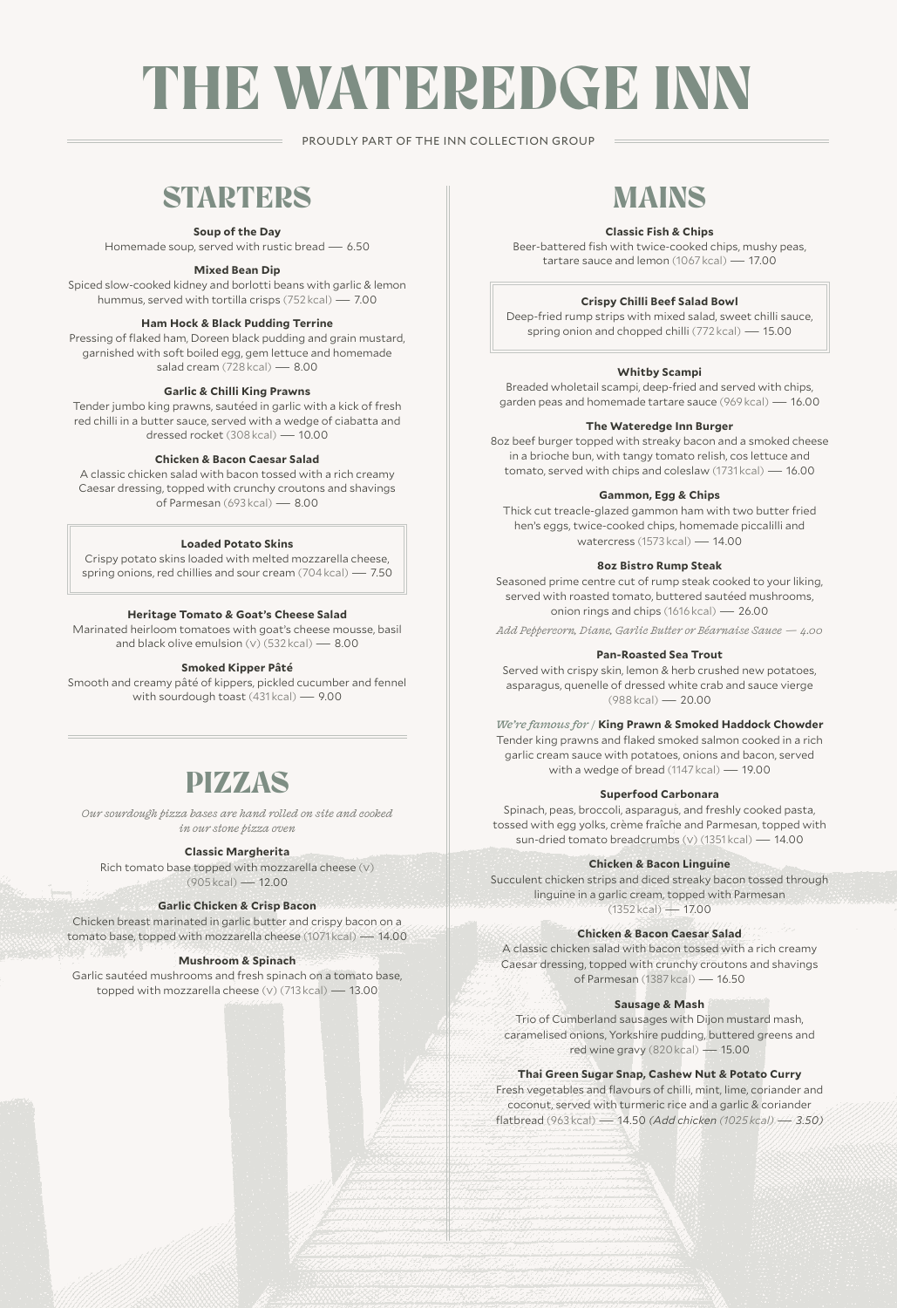# THE WATEREDGE INN

PROUDLY PART OF THE INN COLLECTION GROUP

## **STARTERS**

**Soup of the Day**

Homemade soup, served with rustic bread — 6.50

**Mixed Bean Dip**

Spiced slow-cooked kidney and borlotti beans with garlic & lemon hummus, served with tortilla crisps (752 kcal) — 7.00

#### **Ham Hock & Black Pudding Terrine**

Pressing of flaked ham, Doreen black pudding and grain mustard, garnished with soft boiled egg, gem lettuce and homemade salad cream (728 kcal) — 8.00

#### **Garlic & Chilli King Prawns**

Tender jumbo king prawns, sautéed in garlic with a kick of fresh red chilli in a butter sauce, served with a wedge of ciabatta and dressed rocket (308 kcal) — 10.00

#### **Chicken & Bacon Caesar Salad**

A classic chicken salad with bacon tossed with a rich creamy Caesar dressing, topped with crunchy croutons and shavings of Parmesan (693 kcal) — 8.00

#### **Loaded Potato Skins**

Crispy potato skins loaded with melted mozzarella cheese, spring onions, red chillies and sour cream (704 kcal) — 7.50

#### **Heritage Tomato & Goat's Cheese Salad**

Marinated heirloom tomatoes with goat's cheese mousse, basil and black olive emulsion  $(v)$  (532 kcal)  $- 8.00$ 

#### **Smoked Kipper Pâté**

Smooth and creamy pâté of kippers, pickled cucumber and fennel with sourdough toast (431 kcal) — 9.00

### PIZZAS

*Our sourdough pizza bases are hand rolled on site and cooked in our stone pizza oven* 

#### **Classic Margherita**

Rich tomato base topped with mozzarella cheese (v) (905 kcal) — 12.00

#### **Garlic Chicken & Crisp Bacon**

Chicken breast marinated in garlic butter and crispy bacon on a tomato base, topped with mozzarella cheese (1071 kcal) — 14.00

#### **Mushroom & Spinach**

Garlic sautéed mushrooms and fresh spinach on a tomato base, topped with mozzarella cheese (v) (713 kcal) — 13.00

# MAINS

#### **Classic Fish & Chips**

Beer-battered fish with twice-cooked chips, mushy peas, tartare sauce and lemon (1067 kcal) — 17.00

#### **Crispy Chilli Beef Salad Bowl**

Deep-fried rump strips with mixed salad, sweet chilli sauce, spring onion and chopped chilli (772 kcal) — 15.00

#### **Whitby Scampi**

Breaded wholetail scampi, deep-fried and served with chips, garden peas and homemade tartare sauce (969 kcal) — 16.00

#### **The Wateredge Inn Burger**

8oz beef burger topped with streaky bacon and a smoked cheese in a brioche bun, with tangy tomato relish, cos lettuce and tomato, served with chips and coleslaw (1731 kcal) — 16.00

#### **Gammon, Egg & Chips**

Thick cut treacle-glazed gammon ham with two butter fried hen's eggs, twice-cooked chips, homemade piccalilli and watercress (1573 kcal) — 14.00

#### **8oz Bistro Rump Steak**

Seasoned prime centre cut of rump steak cooked to your liking, served with roasted tomato, buttered sautéed mushrooms, onion rings and chips (1616 kcal) — 26.00

*Add Peppercorn, Diane, Garlic Butter or Béarnaise Sauce — 4.00*

#### **Pan-Roasted Sea Trout**

Served with crispy skin, lemon & herb crushed new potatoes, asparagus, quenelle of dressed white crab and sauce vierge (988 kcal) — 20.00

*We're famous for /* **King Prawn & Smoked Haddock Chowder** Tender king prawns and flaked smoked salmon cooked in a rich garlic cream sauce with potatoes, onions and bacon, served with a wedge of bread (1147 kcal) — 19.00

#### **Superfood Carbonara**

Spinach, peas, broccoli, asparagus, and freshly cooked pasta, tossed with egg yolks, crème fraîche and Parmesan, topped with sun-dried tomato breadcrumbs (v) (1351 kcal) — 14.00

#### **Chicken & Bacon Linguine**

Succulent chicken strips and diced streaky bacon tossed through linguine in a garlic cream, topped with Parmesan  $(1352 \text{ kcal}) - 1700$ 

**Chicken & Bacon Caesar Salad**

A classic chicken salad with bacon tossed with a rich creamy Caesar dressing, topped with crunchy croutons and shavings of Parmesan (1387 kcal) — 16.50

#### **Sausage & Mash**

Trio of Cumberland sausages with Dijon mustard mash, caramelised onions, Yorkshire pudding, buttered greens and red wine gravy (820 kcal) — 15.00

#### **Thai Green Sugar Snap, Cashew Nut & Potato Curry**

Fresh vegetables and flavours of chilli, mint, lime, coriander and coconut, served with turmeric rice and a garlic & coriander flatbread (963 kcal) — 14.50 *(Add chicken (1025 kcal) — 3.50)*